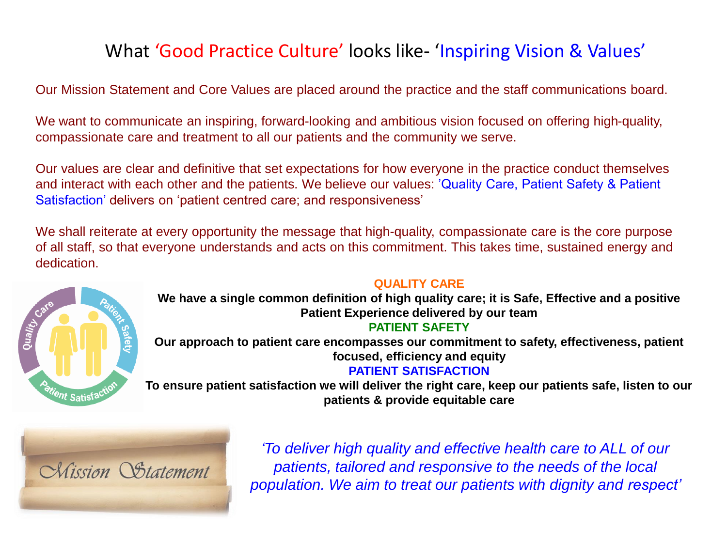# What 'Good Practice Culture' looks like- 'Inspiring Vision & Values'

Our Mission Statement and Core Values are placed around the practice and the staff communications board.

We want to communicate an inspiring, forward-looking and ambitious vision focused on offering high-quality, compassionate care and treatment to all our patients and the community we serve.

Our values are clear and definitive that set expectations for how everyone in the practice conduct themselves and interact with each other and the patients. We believe our values: 'Quality Care, Patient Safety & Patient Satisfaction' delivers on 'patient centred care; and responsiveness'

We shall reiterate at every opportunity the message that high-quality, compassionate care is the core purpose of all staff, so that everyone understands and acts on this commitment. This takes time, sustained energy and dedication.



### **QUALITY CARE**

**We have a single common definition of high quality care; it is Safe, Effective and a positive Patient Experience delivered by our team**

#### **PATIENT SAFETY**

**Our approach to patient care encompasses our commitment to safety, effectiveness, patient focused, efficiency and equity**

## **PATIENT SATISFACTION**

**To ensure patient satisfaction we will deliver the right care, keep our patients safe, listen to our patients & provide equitable care**



*'To deliver high quality and effective health care to ALL of our patients, tailored and responsive to the needs of the local population. We aim to treat our patients with dignity and respect'*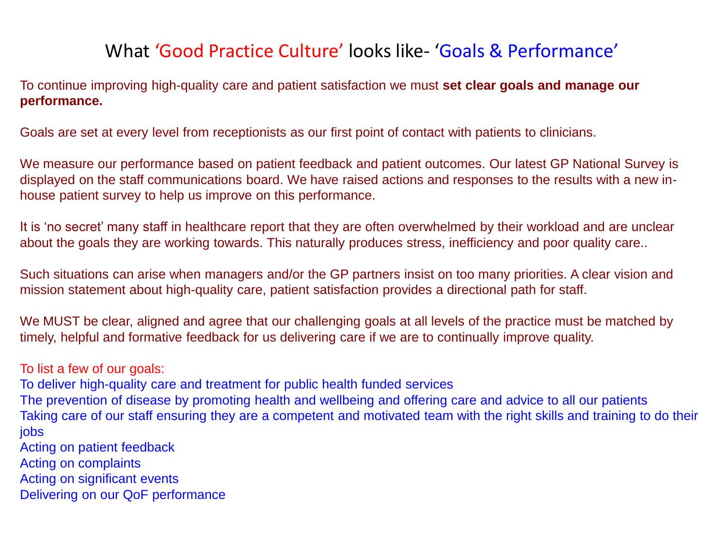## What 'Good Practice Culture' looks like- 'Goals & Performance'

To continue improving high-quality care and patient satisfaction we must **set clear goals and manage our performance.**

Goals are set at every level from receptionists as our first point of contact with patients to clinicians.

We measure our performance based on patient feedback and patient outcomes. Our latest GP National Survey is displayed on the staff communications board. We have raised actions and responses to the results with a new inhouse patient survey to help us improve on this performance.

It is 'no secret' many staff in healthcare report that they are often overwhelmed by their workload and are unclear about the goals they are working towards. This naturally produces stress, inefficiency and poor quality care..

Such situations can arise when managers and/or the GP partners insist on too many priorities. A clear vision and mission statement about high-quality care, patient satisfaction provides a directional path for staff.

We MUST be clear, aligned and agree that our challenging goals at all levels of the practice must be matched by timely, helpful and formative feedback for us delivering care if we are to continually improve quality.

To list a few of our goals:

To deliver high-quality care and treatment for public health funded services

The prevention of disease by promoting health and wellbeing and offering care and advice to all our patients Taking care of our staff ensuring they are a competent and motivated team with the right skills and training to do their jobs

Acting on patient feedback

Acting on complaints

Acting on significant events

Delivering on our QoF performance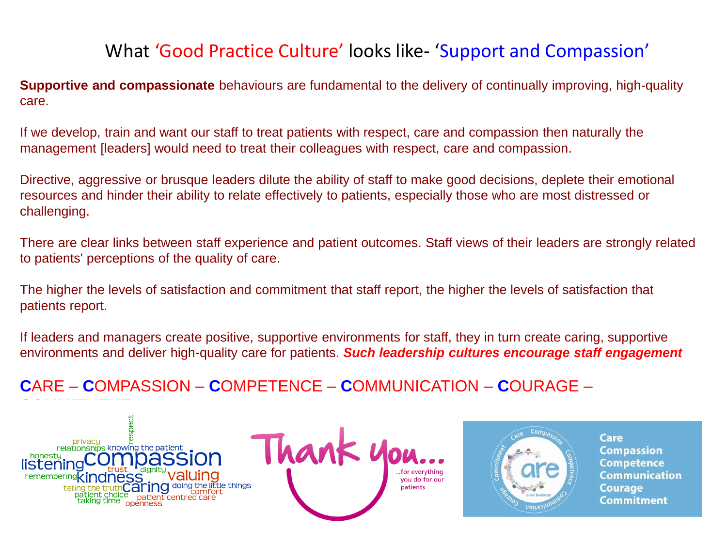# What 'Good Practice Culture' looks like- 'Support and Compassion'

**Supportive and compassionate** behaviours are fundamental to the delivery of continually improving, high-quality care.

If we develop, train and want our staff to treat patients with respect, care and compassion then naturally the management [leaders] would need to treat their colleagues with respect, care and compassion.

Directive, aggressive or brusque leaders dilute the ability of staff to make good decisions, deplete their emotional resources and hinder their ability to relate effectively to patients, especially those who are most distressed or challenging.

There are clear links between staff experience and patient outcomes. Staff views of their leaders are strongly related to patients' perceptions of the quality of care.

The higher the levels of satisfaction and commitment that staff report, the higher the levels of satisfaction that patients report.

If leaders and managers create positive, supportive environments for staff, they in turn create caring, supportive environments and deliver high-quality care for patients. *Such leadership cultures encourage staff engagement*

**C**ARE – **C**OMPASSION – **C**OMPETENCE – **C**OMMUNICATION – **C**OURAGE –







Care **Compassion Competence Communication Courage** Commitment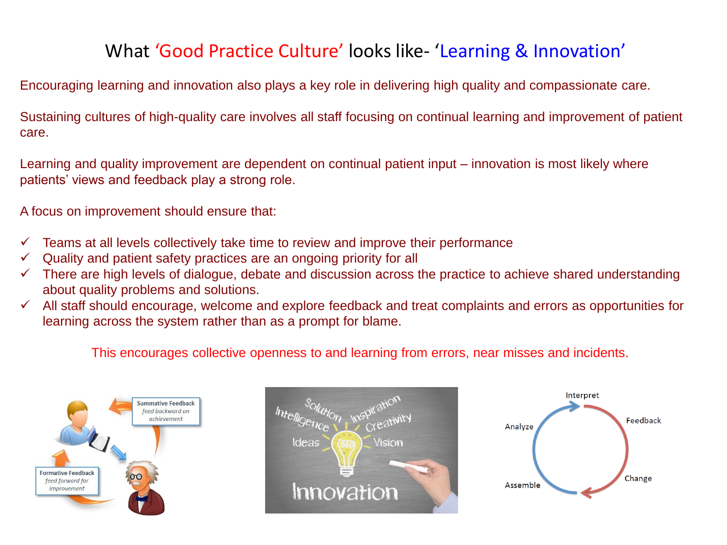# What 'Good Practice Culture' looks like- 'Learning & Innovation'

Encouraging learning and innovation also plays a key role in delivering high quality and compassionate care.

Sustaining cultures of high-quality care involves all staff focusing on continual learning and improvement of patient care.

Learning and quality improvement are dependent on continual patient input – innovation is most likely where patients' views and feedback play a strong role.

A focus on improvement should ensure that:

- $\checkmark$  Teams at all levels collectively take time to review and improve their performance
- Quality and patient safety practices are an ongoing priority for all
- $\checkmark$  There are high levels of dialogue, debate and discussion across the practice to achieve shared understanding about quality problems and solutions.
- All staff should encourage, welcome and explore feedback and treat complaints and errors as opportunities for learning across the system rather than as a prompt for blame.

This encourages collective openness to and learning from errors, near misses and incidents.